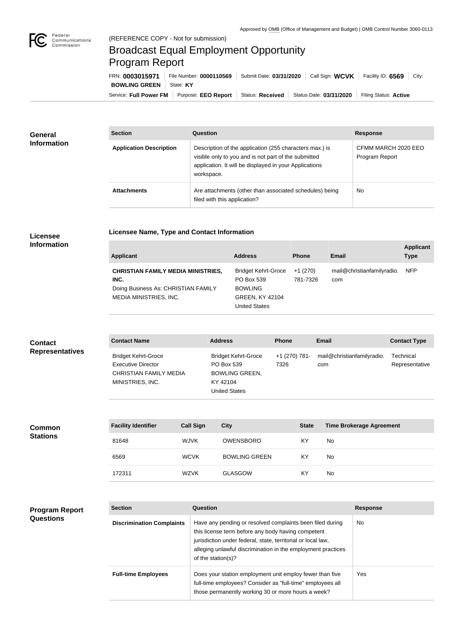

## Broadcast Equal Employment Opportunity Program Report

**Licensee Name, Type and Contact Information**

Service: Full Power FM Purpose: EEO Report | Status: Received | Status Date: 03/31/2020 | Filing Status: Active **BOWLING GREEN** State: KY FRN: **0003015971** File Number: **0000110569** Submit Date: **03/31/2020** Call Sign: **WCVK** Facility ID: **6569** City:

| <b>General</b><br><b>Information</b> | <b>Section</b>                 | <b>Question</b>                                                                                                                                                                         | <b>Response</b>                       |
|--------------------------------------|--------------------------------|-----------------------------------------------------------------------------------------------------------------------------------------------------------------------------------------|---------------------------------------|
|                                      | <b>Application Description</b> | Description of the application (255 characters max.) is<br>visible only to you and is not part of the submitted<br>application. It will be displayed in your Applications<br>workspace. | CFMM MARCH 2020 EEO<br>Program Report |
|                                      | <b>Attachments</b>             | Are attachments (other than associated schedules) being<br>filed with this application?                                                                                                 | No                                    |

## **Licensee Information**

| <b>Applicant</b>                                                                                                   | <b>Address</b>                                                                                        | <b>Phone</b>         | <b>Email</b>                      | <b>Applicant</b><br><b>Type</b> |
|--------------------------------------------------------------------------------------------------------------------|-------------------------------------------------------------------------------------------------------|----------------------|-----------------------------------|---------------------------------|
| <b>CHRISTIAN FAMILY MEDIA MINISTRIES,</b><br>INC.<br>Doing Business As: CHRISTIAN FAMILY<br>MEDIA MINISTRIES, INC. | <b>Bridget Kehrt-Groce</b><br>PO Box 539<br><b>BOWLING</b><br><b>GREEN, KY 42104</b><br>United States | +1 (270)<br>781-7326 | mail@christianfamilyradio.<br>com | <b>NFP</b>                      |

| <b>Contact</b>         | <b>Contact Name</b>                                                                                          | <b>Address</b>                                                                                        | <b>Phone</b>          | <b>Email</b>                      | <b>Contact Type</b>         |
|------------------------|--------------------------------------------------------------------------------------------------------------|-------------------------------------------------------------------------------------------------------|-----------------------|-----------------------------------|-----------------------------|
| <b>Representatives</b> | <b>Bridget Kehrt-Groce</b><br><b>Executive Director</b><br><b>CHRISTIAN FAMILY MEDIA</b><br>MINISTRIES, INC. | <b>Bridget Kehrt-Groce</b><br>PO Box 539<br><b>BOWLING GREEN,</b><br>KY 42104<br><b>United States</b> | +1 (270) 781-<br>7326 | mail@christianfamilyradio.<br>com | Technical<br>Representative |

| <b>Common</b><br><b>Stations</b> | <b>Facility Identifier</b> | <b>Call Sign</b> | <b>City</b>          | <b>State</b> | <b>Time Brokerage Agreement</b> |
|----------------------------------|----------------------------|------------------|----------------------|--------------|---------------------------------|
|                                  | 81648                      | <b>WJVK</b>      | <b>OWENSBORO</b>     | KY.          | No                              |
|                                  | 6569                       | <b>WCVK</b>      | <b>BOWLING GREEN</b> | KY           | No                              |
|                                  | 172311                     | <b>WZVK</b>      | <b>GLASGOW</b>       | KY           | No                              |

## **Program Report Questions**

| <b>Section</b>                   | Question                                                                                                                                                                                                                                                              | <b>Response</b> |
|----------------------------------|-----------------------------------------------------------------------------------------------------------------------------------------------------------------------------------------------------------------------------------------------------------------------|-----------------|
| <b>Discrimination Complaints</b> | Have any pending or resolved complaints been filed during<br>this license term before any body having competent<br>jurisdiction under federal, state, territorial or local law,<br>alleging unlawful discrimination in the employment practices<br>of the station(s)? | No.             |
| <b>Full-time Employees</b>       | Does your station employment unit employ fewer than five<br>full-time employees? Consider as "full-time" employees all<br>those permanently working 30 or more hours a week?                                                                                          | Yes             |